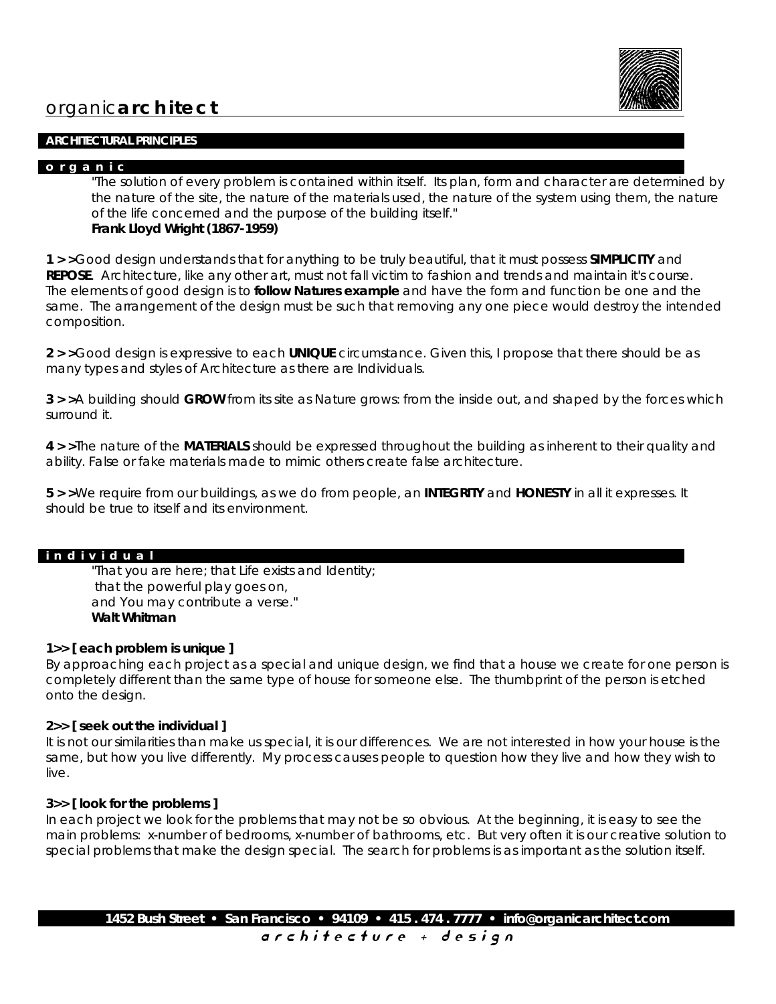

# organic**architect**

#### **ARCHITECTURAL PRINCIPLES**

## **o r g a n i c**

*"The solution of every problem is contained within itself. Its plan, form and character are determined by the nature of the site, the nature of the materials used, the nature of the system using them, the nature of the life concerned and the purpose of the building itself."* **Frank Lloyd Wright (1867-1959)**

**1 > >**Good design understands that for anything to be truly beautiful, that it must possess **SIMPLICITY** and **REPOSE**. Architecture, like any other art, must not fall victim to fashion and trends and maintain it's course. The elements of good design is to **follow Natures example** and have the form and function be one and the same. The arrangement of the design must be such that removing any one piece would destroy the intended composition.

**2 > >**Good design is expressive to each **UNIQUE** circumstance. Given this, I propose that there should be as many types and styles of Architecture as there are Individuals.

**3 > >**A building should **GROW** from its site as Nature grows: from the inside out, and shaped by the forces which surround it.

**4 > >**The nature of the **MATERIALS** should be expressed throughout the building as inherent to their quality and ability. False or fake materials made to mimic others create false architecture.

**5 > >**We require from our buildings, as we do from people, an **INTEGRITY** and **HONESTY** in all it expresses. It should be true to itself and its environment.

#### **i n d i v i d u a l**

*"That you are here; that Life exists and Identity; that the powerful play goes on, and You may contribute a verse."* **Walt Whitman**

# **1>> [ each problem is unique ]**

By approaching each project as a special and unique design, we find that a house we create for one person is completely different than the same type of house for someone else. The thumbprint of the person is etched onto the design.

#### **2>> [ seek out the individual ]**

It is not our similarities than make us special, it is our differences. We are not interested in how your house is the same, but how you live differently. My process causes people to question how they live and how they wish to live.

#### **3>> [ look for the problems ]**

In each project we look for the problems that may not be so obvious. At the beginning, it is easy to see the main problems: x-number of bedrooms, x-number of bathrooms, etc. But very often it is our creative solution to special problems that make the design special. The search for problems is as important as the solution itself.